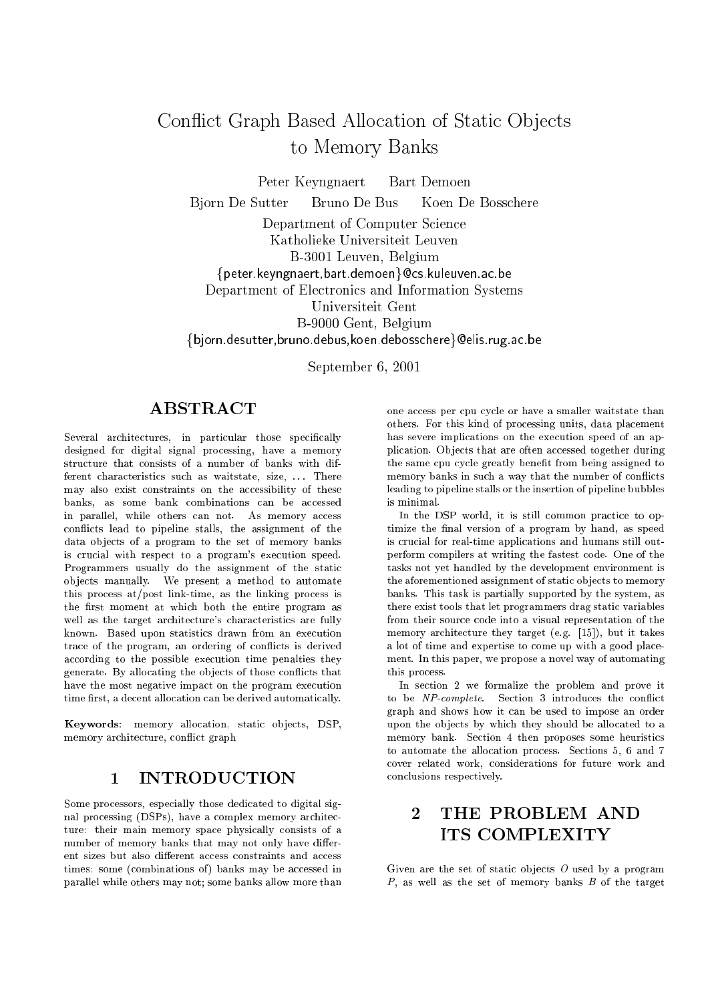# Conflict Graph Based Allocation of Static Objects to Memory Banks

Peter Keyngnaert Bart Demoen

Bjorn De Sutter Bruno De Bus Koen De Boss
here

Department of Computer Science Katholieke Universiteit Leuven B-3001 Leuven, Belgium  $\{ \text{peter keyngnaert}, \text{bart.demoen} \}$ @cs.kuleuven.ac.be Department of Ele
troni
s and Information Systems Universiteit Gent B-9000 Gent, Belgium {bjorn.desutter, bruno.debus, koen.debosschere}@elis.rug.ac.be

September 6, <sup>2001</sup>

# ABSTRACT

Several architectures, in particular those specifically designed for digital signal pro
essing, have a memory structure that consists of a number of banks with different characteristics such as waitstate, size, ... There may also exist constraints on the accessibility of these banks, as some bank combinations can be accessed in parallel, while others can not. As memory access conflicts lead to pipeline stalls, the assignment of the data objects of a program to the set of memory banks is crucial with respect to a program's execution speed. Programmers usually do the assignment of the stati ob je
ts manually. We present a method to automate this pro
ess at/post link-time, as the linking pro
ess is the first moment at which both the entire program as well as the target architecture's characteristics are fully known. Based upon statistics drawn from an execution trace of the program, an ordering of conflicts is derived according to the possible execution time penalties they generate. By allocating the objects of those conflicts that have the most negative impact on the program execution time first, a decent allocation can be derived automatically.

Keywords: memory allocation, static objects, DSP, memory ar
hite
ture, on
i
t graph

# 1 INTRODUCTION

Some processors, especially those dedicated to digital signal processing (DSPs), have a complex memory architecture: their main memory space physically consists of a number of memory banks that may not only have different sizes but also different access constraints and access times: some (combinations of) banks may be accessed in parallel while others may not; some banks allow more than one access per cpu cycle or have a smaller waitstate than others. For this kind of pro
essing units, data pla
ement has severe implications on the execution speed of an application. Objects that are often accessed together during the same cpu cycle greatly benefit from being assigned to memory banks in such a way that the number of conflicts leading to pipeline stalls or the insertion of pipeline bubbles is minimal.

In the DSP world, it is still common practice to optimize the final version of a program by hand, as speed is crucial for real-time applications and humans still outperform ompilers at writing the fastest ode. One of the tasks not yet handled by the development environment is the aforementioned assignment of static objects to memory banks. This task is partially supported by the system, as there exist tools that let programmers drag stati variables from their sour
e ode into a visual representation of the memory architecture they target (e.g. [15]), but it takes a lot of time and expertise to ome up with a good pla
ement. In this paper, we propose a novel way of automating this pro
ess.

In section 2 we formalize the problem and prove it to be NP-complete. Section 3 introduces the conflict graph and shows how it an be used to impose an order upon the objects by which they should be allocated to a memory bank. Section 4 then proposes some heuristics to automate the allocation process. Sections 5, 6 and 7 over related work, onsiderations for future work and conclusions respectively.

# 2 THE PROBLEM AND ITS COMPLEXITY

Given are the set of static objects  $O$  used by a program P, as well as the set of memory banks  $B$  of the target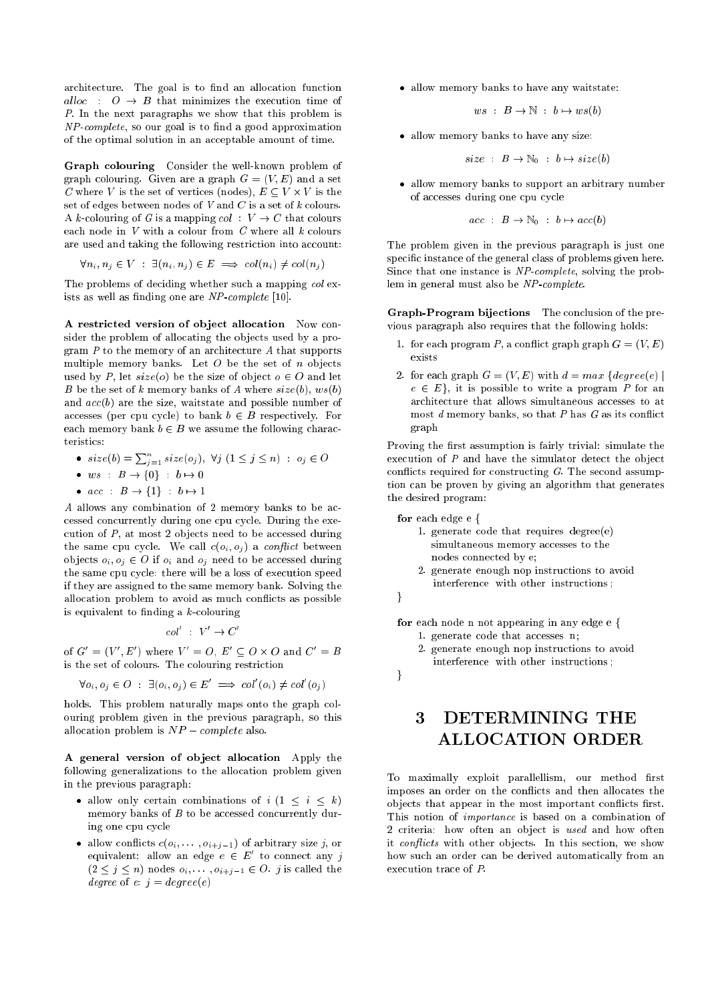architecture. The goal is to find an allocation function alloc :  $\hat{O} \rightarrow \hat{B}$  that minimizes the execution time of P. In the next paragraphs we show that this problem is  $NP-complete$ , so our goal is to find a good approximation of the optimal solution in an acceptable amount of time.

Graph olouring Consider the well-known problem of graph colouring. Given are a graph  $G = (V, E)$  and a set C where V is the set of verti
es (nodes), E V - V is the set of edges between nodes of  $V$  and  $C$  is a set of  $k$  colours. A k-colouring of G is a mapping  $col : V \to C$  that colours each node in  $V$  with a colour from  $C$  where all  $k$  colours are used and taking the following restriction into account:

$$
\forall n_i, n_j \in V : \exists (n_i, n_j) \in E \implies col(n_i) \neq col(n_j)
$$

The problems of deciding whether such a mapping col exists as well as finding one are  $NP$ -complete [10].

A restricted version of object allocation Now consider the problem of allocating the objects used by a program  $P$  to the memory of an architecture  $A$  that supports multiple memory banks. Let  $O$  be the set of  $n$  objects used by P, let  $size(o)$  be the size of object  $o \in O$  and let B be the set of k memory banks of A where  $size(b)$ ,  $ws(b)$ and  $acc(b)$  are the size, waitstate and possible number of accesses (per cpu cycle) to bank  $b \in B$  respectively. For each memory bank  $b \in B$  we assume the following characteristics:

- $size(b) = \sum_{i=1}^{n} size(o_j), \forall j \ (1 \leq j \leq n) \ : \ o_j \in O$
- $\bullet$  ws :  $B \rightarrow \{0\}$  :  $b \mapsto 0$
- $acc : B \rightarrow \{1\} : b \mapsto 1$

A allows any combination of 2 memory banks to be accessed concurrently during one cpu cycle. During the execution of  $P$ , at most 2 objects need to be accessed during the same cpu cycle. We call  $c(o_i, o_j)$  a conflict between objects  $o_i, o_j \in O$  if  $o_i$  and  $o_j$  need to be accessed during the same cpu cycle: there will be a loss of execution speed if they are assigned to the same memory bank. Solving the allocation problem to avoid as much conflicts as possible is equivalent to finding a  $k$ -colouring

$$
col' \; : \; V' \to C'
$$

of  $G = (V, E)$  where  $V = U, E \subseteq U \times U$  and  $U = B$ is the set of colours. The colouring restriction

$$
\forall o_i, o_j \in O \; : \; \exists (o_i, o_j) \in E' \implies col'(o_i) \neq col'(o_j)
$$

holds. This problem naturally maps onto the graph colouring problem given in the previous paragraph, so this allocation problem is  $NP-complete$  also.

A general version of object allocation Apply the following generalizations to the allocation problem given in the previous paragraph:

- allow only certain combinations of  $i (1 \leq i \leq k)$ memory banks of  $B$  to be accessed concurrently during one cpu cycle
- allow conflicts  $c(o_i, \ldots, o_{i+j-1})$  of arbitrary size j, or equivalent: allow an edge  $e\,\in\, E\,$  to connect any  $\eta$  $(2 \leq j \leq n)$  nodes  $o_i, \ldots, o_{i+j-1} \in O$ . *j* is called the degree of e:  $j = degree(e)$

allow memory banks to have any waitstate:

$$
ws \; : \; B \to \mathbb{N} \; : \; b \mapsto ws(b)
$$

allow memory banks to have any size:

$$
size \quad : \ B \to \mathbb{N}_0 \quad b \mapsto size(b)
$$

 allow memory banks to support an arbitrary number of accesses during one cpu cycle

$$
acc : B \to \mathbb{N}_0 : b \mapsto acc(b)
$$

The problem given in the previous paragraph is just one specific instance of the general class of problems given here. Since that one instance is NP-complete, solving the problem in general must also be NP-complete.

Graph-Program bijections The conclusion of the previous paragraph also requires that the following holds:

- 1. for each program P, a conflict graph graph  $G = (V, E)$
- 2. for each graph  $G = (V, E)$  with  $d = max$  {degree(e) |  $e \in E$ , it is possible to write a program P for an architecture that allows simultaneous accesses to at most  $d$  memory banks, so that  $P$  has  $G$  as its conflict graph

Proving the first assumption is fairly trivial: simulate the execution of  $P$  and have the simulator detect the object conflicts required for constructing  $G$ . The second assumption an be proven by giving an algorithm that generates the desired program:

for each edge e {

- 1. generate ode that requires degree(e) simultaneous memory accesses to the nodes onne
ted by e;
- 2. generate enough nop instru
tions to avoid interference with other instructions:



for each node n not appearing in any edge e {

- 1. generate code that accesses n;
- 2. generate enough nop instru
tions to avoid interferen
e with other instru
tions ;

 $\mathcal{E}$ 

# 3 DETERMINING THE ALLOCATION ORDER

To maximally exploit parallellism, our method first imposes an order on the conflicts and then allocates the objects that appear in the most important conflicts first. This notion of *importance* is based on a combination of 2 criteria: how often an object is used and how often it conflicts with other objects. In this section, we show how such an order can be derived automatically from an execution trace of P.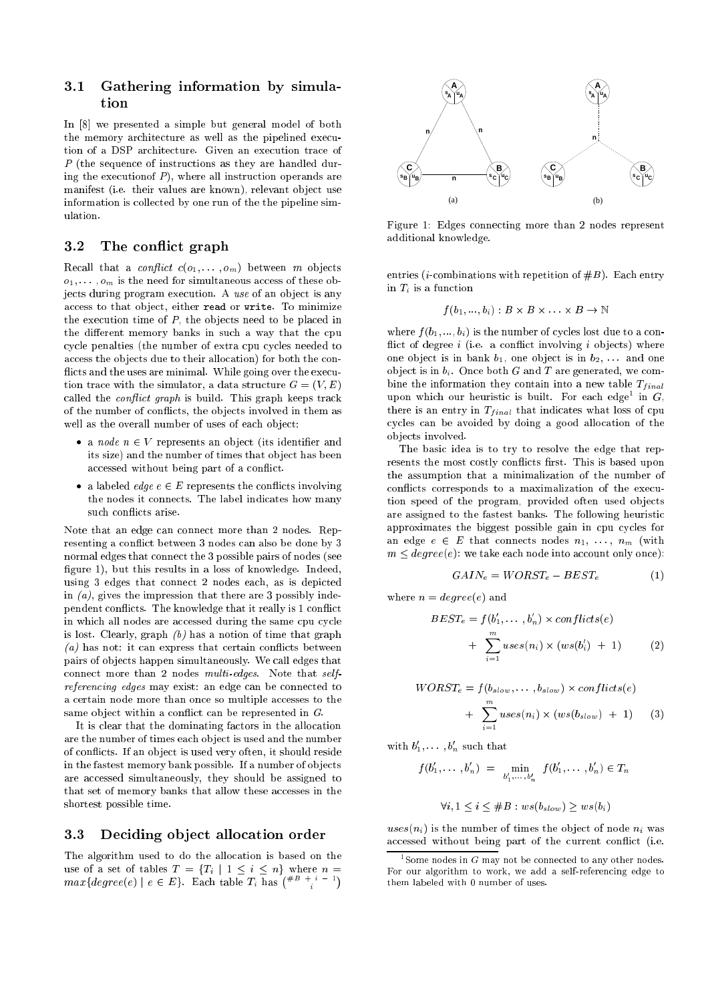## 3.1 Gathering information by simulation

In  $[8]$  we presented a simple but general model of both the memory architecture as well as the pipelined execution of a DSP architecture. Given an execution trace of P (the sequence of instructions as they are handled during the execution of  $P$ ), where all instruction operands are manifest (i.e. their values are known), relevant object use information is collected by one run of the the pipeline simulation.

#### 3.2 The conflict graph

Recall that a *conflict*  $c(o_1, \ldots, o_m)$  between m objects  $o_1, \ldots, o_m$  is the need for simultaneous access of these objects during program execution. A use of an object is any access to that object, either read or write. To minimize the execution time of  $P$ , the objects need to be placed in the different memory banks in such a way that the cpu cycle penalties (the number of extra cpu cycles needed to access the objects due to their allocation) for both the conflicts and the uses are minimal. While going over the execution trace with the simulator, a data structure  $G = (V, E)$ called the *conflict graph* is build. This graph keeps track of the number of conflicts, the objects involved in them as well as the overall number of uses of each object:

- a node  $n \in V$  represents an object (its identifier and its size) and the number of times that object has been accessed without being part of a conflict.
- a labeled *edge*  $e \in E$  represents the conflicts involving the nodes it connects. The label indicates how many such conflicts arise.

Note that an edge can connect more than 2 nodes. Representing a conflict between 3 nodes can also be done by 3 normal edges that onne
t the 3 possible pairs of nodes (see figure 1), but this results in a loss of knowledge. Indeed, using 3 edges that onne
t 2 nodes ea
h, as is depi
ted in  $(a)$ , gives the impression that there are 3 possibly independent conflicts. The knowledge that it really is 1 conflict in which all nodes are accessed during the same cpu cycle is lost. Clearly, graph  $(b)$  has a notion of time that graph (a) has not: it can express that certain conflicts between pairs of ob je
ts happen simultaneously. We all edges that connect more than 2 nodes multi-edges. Note that selfreferencing edges may exist: an edge can be connected to a certain node more than once so multiple accesses to the same object within a conflict can be represented in  $G$ .

It is clear that the dominating factors in the allocation are the number of times ea
h ob je
t is used and the number of conflicts. If an object is used very often, it should reside in the fastest memory bank possible. If a number of objects are accessed simultaneously, they should be assigned to that set of memory banks that allow these accesses in the shortest possible time.

#### $3.3$ Deciding object allocation order

The algorithm used to do the allocation is based on the use of a set of tables  $T = \{T_i \mid 1 \leq i \leq n\}$  where  $n =$  $max\{degree(e) | e \in E\}$ . Each table  $T_i$  has  $(*^{B} + i - 1)$ 



Figure 1: Edges onne
ting more than 2 nodes represent additional knowledge.

entries (*i*-combinations with repetition of  $#B$ ). Each entry in  $T_i$  is a function

$$
f(b_1,...,b_i):B\times B\times \ldots \times B\to \mathbb{N}
$$

where  $f(b_1, ..., b_i)$  is the number of cycles lost due to a conflict of degree  $i$  (i.e. a conflict involving  $i$  objects) where one object is in bank  $b_1$ , one object is in  $b_2$ , ... and one object is in  $b_i$ . Once both G and T are generated, we combine the information they contain into a new table  $T_{final}$ upon which our neuristic is built. For each edge in G, there is an entry in  $T_{final}$  that indicates what loss of cpu cycles can be avoided by doing a good allocation of the ob je
ts involved.

The basi idea is to try to resolve the edge that represents the most costly conflicts first. This is based upon the assumption that a minimalization of the number of conflicts corresponds to a maximalization of the execution speed of the program, provided often used objects are assigned to the fastest banks. The following heuristi approximates the biggest possible gain in cpu cycles for an edge  $e \in E$  that connects nodes  $n_1, \ldots, n_m$  (with  $m \leq degree(e)$ : we take each node into account only once):

$$
GAN_e = WORST_e - BEST_e \tag{1}
$$

where  $n = degree(e)$  and

$$
BEST_e = f(b'_1, ..., b'_n) \times conflicts(e)
$$
  
+ 
$$
\sum_{i=1}^{m} uses(n_i) \times (ws(b'_i) + 1)
$$
 (2)

$$
WORST_e = f(b_{slow}, \dots, b_{slow}) \times conflicts(e)
$$
  
+ 
$$
\sum_{i=1}^{m} uses(n_i) \times (ws(b_{slow}) + 1)
$$
 (3)

with  $b_1, \ldots, b_n$  such that

$$
f(b'_1, \ldots, b'_n) = \min_{b'_1, \ldots, b'_n} f(b'_1, \ldots, b'_n) \in T_n
$$
  

$$
\forall i, 1 \le i \le \#B : ws(b_{slow}) > ws(b_i)
$$

 $uses(n_i)$  is the number of times the object of node  $n_i$  was accessed without being part of the current conflict (i.e.

<sup>-</sup>some nodes in G may not be connected to any other nodes. For our algorithm to work, we add <sup>a</sup> self-referen
ing edge to them labeled with <sup>0</sup> number of uses.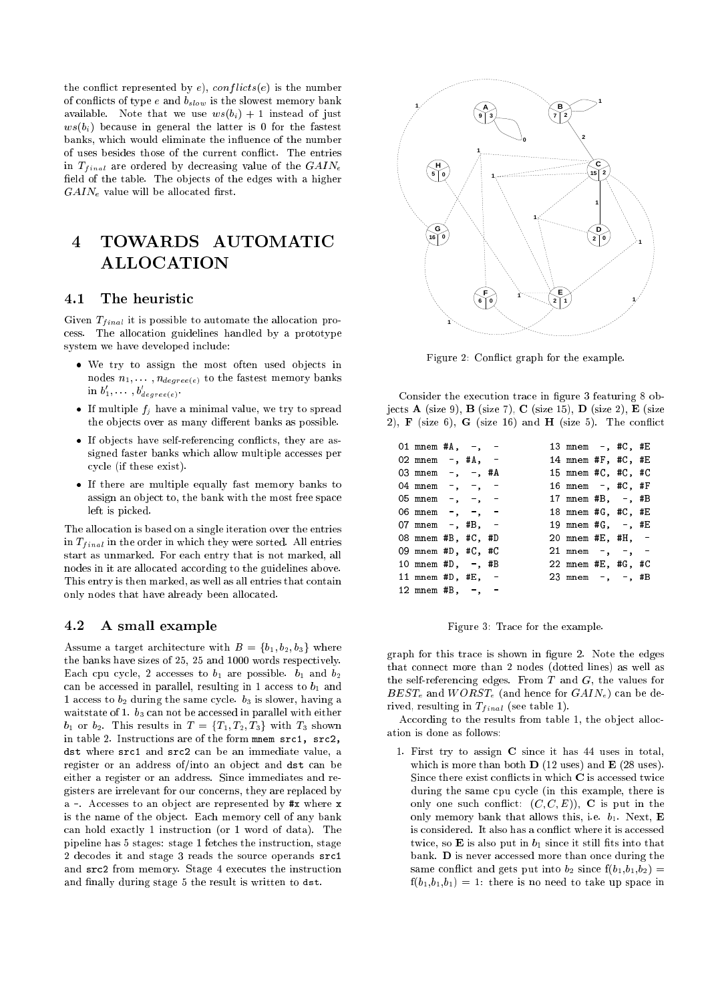the conflict represented by e),  $conflicts(e)$  is the number of conflicts of type e and  $b_{slow}$  is the slowest memory bank available. Note that we use  $ws(b_i) + 1$  instead of just  $ws(b_i)$  because in general the latter is 0 for the fastest banks, which would eliminate the influence of the number of uses besides those of the current conflict. The entries in  $T_{final}$  are ordered by decreasing value of the  $GAIN_{e}$ field of the table. The objects of the edges with a higher  $GAIN<sub>e</sub>$  value will be allocated first.

# 4 TOWARDS AUTOMATIC ALLOCATION

#### 4.1 The heuristi

Given  $T_{final}$  it is possible to automate the allocation proess. The allo
ation guidelines handled by a prototype system we have developed in
lude:

- We try to assign the most often used objects in nodes  $n_1, \ldots, n_{degree(e)}$  to the fastest memory banks in  $b_1, \ldots, b_{degree(e)}$ .
- If multiple  $f_j$  have a minimal value, we try to spread the objects over as many different banks as possible.
- If objects have self-referencing conflicts, they are assigned faster banks which allow multiple accesses per y
le (if these exist).
- If there are multiple equally fast memory banks to assign an object to, the bank with the most free space left is pi
ked.

The allocation is based on a single iteration over the entries in  $T_{final}$  in the order in which they were sorted. All entries start as unmarked. For ea
h entry that is not marked, all nodes in it are allocated according to the guidelines above. This entry is then marked, as well as all entries that contain only nodes that have already been allo
ated.

## 4.2 A small example

Assume a target architecture with  $B = \{b_1, b_2, b_3\}$  where the banks have sizes of 25, 25 and 1000 words respectively. Each cpu cycle, 2 accesses to  $b_1$  are possible.  $b_1$  and  $b_2$ can be accessed in parallel, resulting in 1 access to  $b_1$  and 1 access to  $b_2$  during the same cycle.  $b_3$  is slower, having a waitstate of 1.  $b_3$  can not be accessed in parallel with either  $b_1$  or  $b_2$ . This results in  $T = \{T_1, T_2, T_3\}$  with  $T_3$  shown in table 2. Instructions are of the form mnem src1, src2. dst where sr
1 and sr
2 an be an immediate value, a register or an address of/into an object and dst can be either a register or an address. Sin
e immediates and registers are irrelevant for our concerns, they are replaced by a -. Accesses to an object are represented by #x where x is the name of the object. Each memory cell of any bank an hold exa
tly 1 instru
tion (or 1 word of data). The pipeline has 5 stages: stage 1 fet
hes the instru
tion, stage 2 decodes it and stage 3 reads the source operands src1 and sr
2 from memory. Stage 4 exe
utes the instru
tion and finally during stage 5 the result is written to dst.



Figure 2: Conflict graph for the example.

Consider the execution trace in figure 3 featuring 8 objects **A** (size 9), **B** (size 7), **C** (size 15), **D** (size 2), **E** (size 2),  $\bf{F}$  (size 6),  $\bf{G}$  (size 16) and  $\bf{H}$  (size 5). The conflict

| 01 mnem # $\text{A}$ , -, - |  |  | 13 mnem -, #C, #E         |  |  |
|-----------------------------|--|--|---------------------------|--|--|
| 02 mnem $-$ , #A, $-$       |  |  | 14 mnem #F, #C, #E        |  |  |
| 03 mnem $-$ , $-$ , #A      |  |  | 15 mnem #C, #C, #C        |  |  |
| 04 mnem $-$ , $-$ , $-$     |  |  | 16 mnem -, #C, #F         |  |  |
| 05 mnem $-$ , $-$ , $-$     |  |  | 17 mnem #B, -, #B         |  |  |
| 06 mnem $-$ , $-$ , $-$     |  |  | 18 mnem #G, #C, #E        |  |  |
| 07 mnem $-$ , #B, $-$       |  |  | 19 mnem #G, -, #E         |  |  |
| 08 mnem #B, #C, #D          |  |  | 20 mnem #E, #H, -         |  |  |
| 09 mnem #D, #C, #C          |  |  | $21$ mnem $-$ , $-$ , $-$ |  |  |
| 10 mnem # $D, -$ , # $B$    |  |  | 22 mnem #E, #G, #C        |  |  |
| 11 mnem # $D$ , # $E$ , -   |  |  | 23 mnem $-, -$ , #B       |  |  |
| 12 mnem #B, $-$ , $-$       |  |  |                           |  |  |
|                             |  |  |                           |  |  |

Figure 3: Tra
e for the example.

graph for this tra
e is shown in gure 2. Note the edges that onne
t more than 2 nodes (dotted lines) as well as the self-referencing edges. From  $T$  and  $G$ , the values for  $BEST_e$  and  $WORST_e$  (and hence for  $GAIN_e$ ) can be derived, resulting in  $T_{final}$  (see table 1).

According to the results from table 1, the object allocation is done as follows:

1. First try to assign C sin
e it has 44 uses in total, which is more than both  $\bf{D}$  (12 uses) and  $\bf{E}$  (28 uses). Since there exist conflicts in which C is accessed twice during the same cpu cycle (in this example, there is only one such conflict:  $(C, C, E)$ , C is put in the only memory bank that allows this, i.e.  $b_1$ . Next, **E** is considered. It also has a conflict where it is accessed twice, so  $\bf{E}$  is also put in  $b_1$  since it still fits into that bank. D is never accessed more than once during the same conflict and gets put into  $b_2$  since  $f(b_1, b_1, b_2)$  =  $f(b_1, b_1, b_1) = 1$ : there is no need to take up space in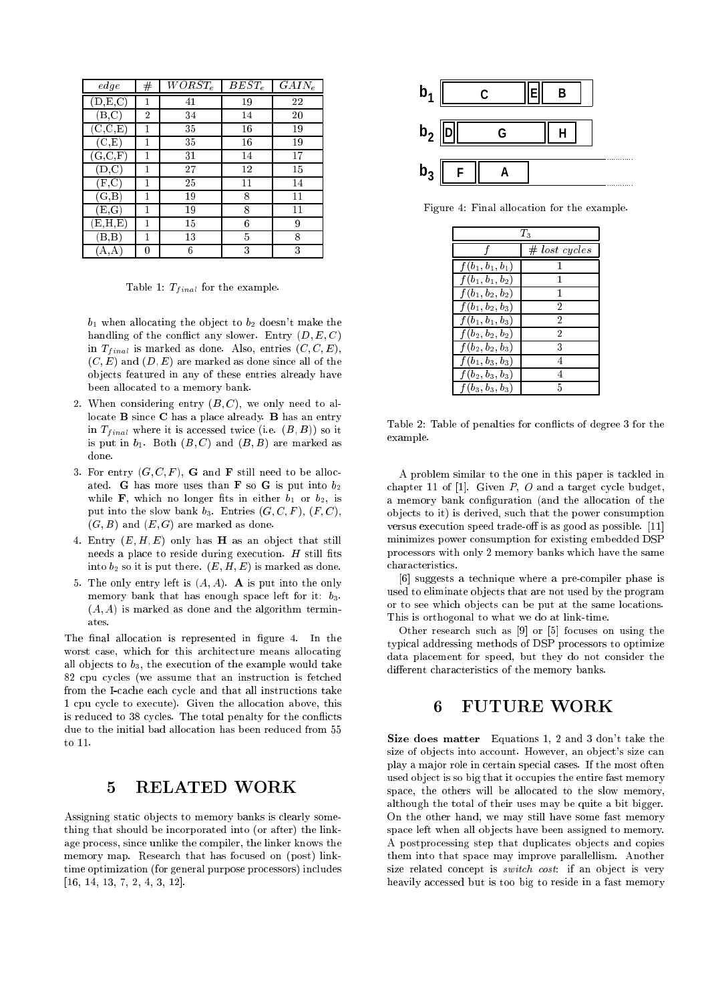| edge                                 | # | $WORST_e$ | $BEST_e$ | $GAIN_e$ |
|--------------------------------------|---|-----------|----------|----------|
| $(\mathbf{D},\mathbf{E},\mathbf{C})$ | 1 | 41        | 19       | 22       |
| B,C                                  | 2 | 34        | 14       | 20       |
| $(\mathrm{C},\mathrm{C},\mathrm{E})$ | 1 | 35        | 16       | 19       |
| $(\mathrm{C},\mathrm{E})$            | 1 | 35        | 16       | 19       |
| $(\mathrm{G},\mathrm{C},\mathrm{F})$ | 1 | 31        | 14       | 17       |
| D, C                                 | 1 | 27        | 12       | 15       |
| (F.C                                 | 1 | 25        | 11       | 14       |
| $(\mathrm{G},\mathrm{B})$            | 1 | 19        | 8        | 11       |
| $(\mathrm{E},\mathrm{G})$            | 1 | 19        | 8        | 11       |
| E,H,E)                               | 1 | 15        | 6        | 9        |
| B.B                                  | 1 | 13        | 5        | 8        |
| А,<br>А                              |   | 6         | 3        | 3        |

Table 1:  $T_{final}$  for the example.

 $b_1$  when allocating the object to  $b_2$  doesn't make the handling of the conflict any slower. Entry  $(D, E, C)$ in  $T_{final}$  is marked as done. Also, entries  $(C, C, E)$ ,  $(C, E)$  and  $(D, E)$  are marked as done since all of the ob je
ts featured in any of these entries already have been allocated to a memory bank.

- 2. When considering entry  $(B, C)$ , we only need to allocate **B** since **C** has a place already. **B** has an entry in  $T_{final}$  where it is accessed twice (i.e.  $(B, B)$ ) so it is put in  $b_1$ . Both  $(B, C)$  and  $(B, B)$  are marked as done.
- 3. For entry  $(G, C, F)$ , **G** and **F** still need to be allocated. G has more uses than **F** so G is put into  $b_2$ while **F**, which no longer fits in either  $b_1$  or  $b_2$ , is put into the slow bank  $b_3$ . Entries  $(G, C, F)$ ,  $(F, C)$ ,  $(G, B)$  and  $(E, G)$  are marked as done.
- 4. Entry  $(E, H, E)$  only has **H** as an object that still needs a place to reside during execution.  $H$  still fits into  $b_2$  so it is put there.  $(E, H, E)$  is marked as done.
- 5. The only entry left is  $(A, A)$ . A is put into the only memory bank that has enough space left for it:  $b_3$ .  $(A, A)$  is marked as done and the algorithm terminates.

The final allocation is represented in figure 4. In the worst case, which for this architecture means allocating all objects to  $b_3$ , the execution of the example would take 82 cpu cycles (we assume that an instruction is fetched from the I-cache each cycle and that all instructions take 1 cpu cycle to execute). Given the allocation above, this is reduced to 38 cycles. The total penalty for the conflicts due to the initial bad allocation has been reduced from 55 to 11.

# 5 RELATED WORK

Assigning static objects to memory banks is clearly something that should be incorporated into (or after) the linkage pro
ess, sin
e unlike the ompiler, the linker knows the memory map. Research that has focused on (post) linktime optimization (for general purpose pro
essors) in
ludes  $[16, 14, 13, 7, 2, 4, 3, 12].$ 



Figure 4: Final allo
ation for the example.

| $\scriptstyle T_2$ |                 |  |  |  |
|--------------------|-----------------|--|--|--|
|                    | $#$ lost cycles |  |  |  |
| $f(b_1, b_1, b_1)$ | 1               |  |  |  |
| $f(b_1, b_1, b_2)$ | 1               |  |  |  |
| $f(b_1, b_2, b_2)$ | 1               |  |  |  |
| $f(b_1, b_2, b_3)$ | 2               |  |  |  |
| $f(b_1, b_1, b_3)$ | 2               |  |  |  |
| $f(b_2, b_2, b_2)$ | 2               |  |  |  |
| $f(b_2, b_2, b_3)$ | 3               |  |  |  |
| $f(b_1, b_3, b_3)$ | 4               |  |  |  |
| $f(b_2, b_3, b_3)$ | 4               |  |  |  |
| $f(b_3, b_3, b_3)$ | 5               |  |  |  |

Table 2: Table of penalties for conflicts of degree 3 for the example.

A problem similar to the one in this paper is ta
kled in chapter 11 of [1]. Given  $P$ ,  $O$  and a target cycle budget, a memory bank configuration (and the allocation of the ob je
ts to it) is derived, su
h that the power onsumption versus execution speed trade-off is as good as possible. [11] minimizes power onsumption for existing embedded DSP pro
essors with only 2 memory banks whi
h have the same characteristics.

[6] suggests a technique where a pre-compiler phase is used to eliminate objects that are not used by the program or to see which objects can be put at the same locations. This is orthogonal to what we do at link-time.

Other research such as  $[9]$  or  $[5]$  focuses on using the typi
al addressing methods of DSP pro
essors to optimize data placement for speed, but they do not consider the different characteristics of the memory banks.

## 6 FUTURE WORK

Size does matter Equations 1, 2 and 3 don't take the size of objects into account. However, an object's size can play a major role in certain special cases. If the most often used object is so big that it occupies the entire fast memory space, the others will be allocated to the slow memory, although the total of their uses may be quite a bit bigger. On the other hand, we may still have some fast memory space left when all objects have been assigned to memory. A postprocessing step that duplicates objects and copies them into that spa
e may improve parallellism. Another size related concept is *switch cost*: if an object is very heavily accessed but is too big to reside in a fast memory